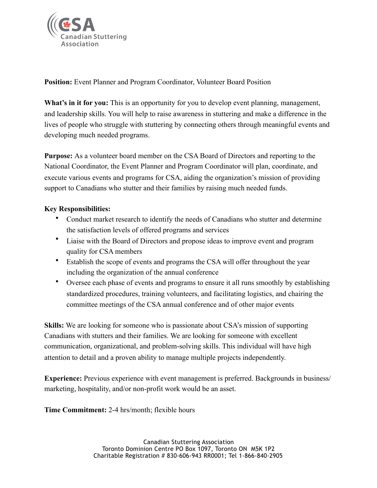

**Position:** Event Planner and Program Coordinator, Volunteer Board Position

What's in it for you: This is an opportunity for you to develop event planning, management, and leadership skills. You will help to raise awareness in stuttering and make a difference in the lives of people who struggle with stuttering by connecting others through meaningful events and developing much needed programs.

**Purpose:** As a volunteer board member on the CSA Board of Directors and reporting to the National Coordinator, the Event Planner and Program Coordinator will plan, coordinate, and execute various events and programs for CSA, aiding the organization's mission of providing support to Canadians who stutter and their families by raising much needed funds.

## **Key Responsibilities:**

- Conduct market research to identify the needs of Canadians who stutter and determine the satisfaction levels of offered programs and services
- Liaise with the Board of Directors and propose ideas to improve event and program quality for CSA members
- Establish the scope of events and programs the CSA will offer throughout the year including the organization of the annual conference
- Oversee each phase of events and programs to ensure it all runs smoothly by establishing standardized procedures, training volunteers, and facilitating logistics, and chairing the committee meetings of the CSA annual conference and of other major events

**Skills:** We are looking for someone who is passionate about CSA's mission of supporting Canadians with stutters and their families. We are looking for someone with excellent communication, organizational, and problem-solving skills. This individual will have high attention to detail and a proven ability to manage multiple projects independently.

**Experience:** Previous experience with event management is preferred. Backgrounds in business/ marketing, hospitality, and/or non-profit work would be an asset.

**Time Commitment:** 2-4 hrs/month; flexible hours

Canadian Stuttering Association Toronto Dominion Centre PO Box 1097, Toronto ON M5K 1P2 Charitable Registration # 830-606-943 RR0001; Tel 1-866-840-2905